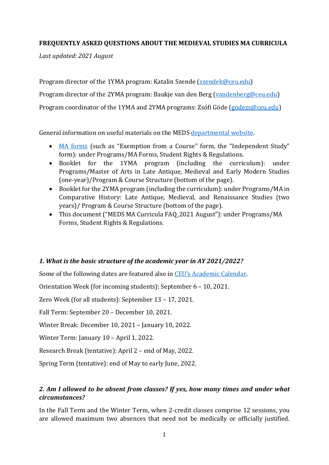#### **FREQUENTLY ASKED QUESTIONS ABOUT THE MEDIEVAL STUDIES MA CURRICULA**

*Last updated: 2021 August*

Program director of the 1YMA program: Katalin Szende [\(szendek@ceu.edu\)](mailto:szendek@ceu.edu) Program director of the 2YMA program: Baukje van den Berg [\(vandenberg@ceu.edu\)](mailto:vandenberg@ceu.edu) Program coordinator of the 1YMA and 2YMA programs: Zsófi Göde [\(godezs@ceu.edu\)](mailto:godezs@ceu.edu)

General information on useful materials on the MEDS [departmental website.](https://medievalstudies.ceu.edu/)

- [MA forms](https://medievalstudies.ceu.edu/ma-forms-student-rights-regulations) (such as "Exemption from a Course" form, the "Independent Study" form): under Programs/MA Forms, Student Rights & Regulations.
- Booklet for the 1YMA program (including the curriculum): under Programs/Master of Arts in Late Antique, Medieval and Early Modern Studies (one-year)/Program & Course Structure (bottom of the page).
- Booklet for the 2YMA program (including the curriculum): under Programs/MA in Comparative History: Late Antique, Medieval, and Renaissance Studies (two years)/ Program & Course Structure (bottom of the page).
- This document ("MEDS MA Curricula FAQ\_2021 August"): under Programs/MA Forms, Student Rights & Regulations.

### *1. What is the basic structure of the academic year in AY 2021/2022?*

Some of the following dates are featured also in [CEU's Academic Calendar](https://www.ceu.edu/calendar).

Orientation Week (for incoming students): September 6 – 10, 2021.

Zero Week (for all students): September 13 – 17, 2021.

Fall Term: September 20 – December 10, 2021.

Winter Break: December 10, 2021 – January 10, 2022.

Winter Term: January 10 - April 1, 2022.

Research Break (tentative): April 2 – end of May, 2022.

Spring Term (tentative): end of May to early June, 2022.

## *2. Am I allowed to be absent from classes? If yes, how many times and under what circumstances?*

In the Fall Term and the Winter Term, when 2-credit classes comprise 12 sessions, you are allowed maximum two absences that need not be medically or officially justified.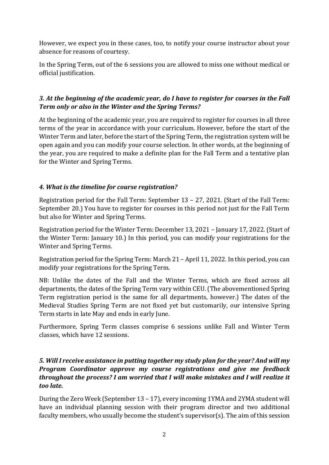However, we expect you in these cases, too, to notify your course instructor about your absence for reasons of courtesy.

In the Spring Term, out of the 6 sessions you are allowed to miss one without medical or official justification.

## *3. At the beginning of the academic year, do I have to register for courses in the Fall Term only or also in the Winter and the Spring Terms?*

At the beginning of the academic year, you are required to register for courses in all three terms of the year in accordance with your curriculum. However, before the start of the Winter Term and later, before the start of the Spring Term, the registration system will be open again and you can modify your course selection. In other words, at the beginning of the year, you are required to make a definite plan for the Fall Term and a tentative plan for the Winter and Spring Terms.

## *4. What is the timeline for course registration?*

Registration period for the Fall Term: September 13 – 27, 2021. (Start of the Fall Term: September 20.) You have to register for courses in this period not just for the Fall Term but also for Winter and Spring Terms.

Registration period for the Winter Term: December 13, 2021 – January 17, 2022. (Start of the Winter Term: January 10.) In this period, you can modify your registrations for the Winter and Spring Terms.

Registration period for the Spring Term: March 21 – April 11, 2022. In this period, you can modify your registrations for the Spring Term.

NB: Unlike the dates of the Fall and the Winter Terms, which are fixed across all departments, the dates of the Spring Term vary within CEU. (The abovementioned Spring Term registration period is the same for all departments, however.) The dates of the Medieval Studies Spring Term are not fixed yet but customarily, our intensive Spring Term starts in late May and ends in early June.

Furthermore, Spring Term classes comprise 6 sessions unlike Fall and Winter Term classes, which have 12 sessions.

## *5. Will I receive assistance in putting together my study plan for the year? And will my Program Coordinator approve my course registrations and give me feedback throughout the process? I am worried that I will make mistakes and I will realize it too late.*

During the Zero Week (September 13 – 17), every incoming 1YMA and 2YMA student will have an individual planning session with their program director and two additional faculty members, who usually become the student's supervisor(s). The aim of this session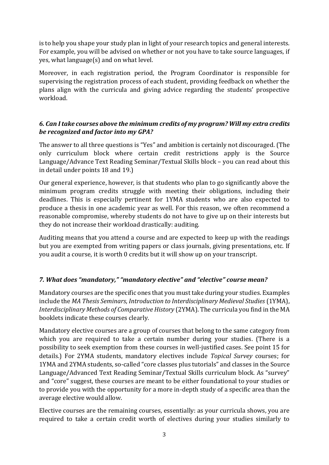is to help you shape your study plan in light of your research topics and general interests. For example, you will be advised on whether or not you have to take source languages, if yes, what language(s) and on what level.

Moreover, in each registration period, the Program Coordinator is responsible for supervising the registration process of each student, providing feedback on whether the plans align with the curricula and giving advice regarding the students' prospective workload.

## *6. Can I take courses above the minimum credits of my program? Will my extra credits be recognized and factor into my GPA?*

The answer to all three questions is "Yes" and ambition is certainly not discouraged. (The only curriculum block where certain credit restrictions apply is the Source Language/Advance Text Reading Seminar/Textual Skills block – you can read about this in detail under points 18 and 19.)

Our general experience, however, is that students who plan to go significantly above the minimum program credits struggle with meeting their obligations, including their deadlines. This is especially pertinent for 1YMA students who are also expected to produce a thesis in one academic year as well. For this reason, we often recommend a reasonable compromise, whereby students do not have to give up on their interests but they do not increase their workload drastically: auditing.

Auditing means that you attend a course and are expected to keep up with the readings but you are exempted from writing papers or class journals, giving presentations, etc. If you audit a course, it is worth 0 credits but it will show up on your transcript.

# *7. What does "mandatory," "mandatory elective" and "elective" course mean?*

Mandatory courses are the specific ones that you must take during your studies. Examples include the *MA Thesis Seminars*, *Introduction to Interdisciplinary Medieval Studies* (1YMA), *Interdisciplinary Methods of Comparative History* (2YMA). The curricula you find in the MA booklets indicate these courses clearly.

Mandatory elective courses are a group of courses that belong to the same category from which you are required to take a certain number during your studies. (There is a possibility to seek exemption from these courses in well-justified cases. See point 15 for details.) For 2YMA students, mandatory electives include *Topical Survey* courses; for 1YMA and 2YMA students, so-called "core classes plus tutorials" and classes in the Source Language/Advanced Text Reading Seminar/Textual Skills curriculum block. As "survey" and "core" suggest, these courses are meant to be either foundational to your studies or to provide you with the opportunity for a more in-depth study of a specific area than the average elective would allow.

Elective courses are the remaining courses, essentially: as your curricula shows, you are required to take a certain credit worth of electives during your studies similarly to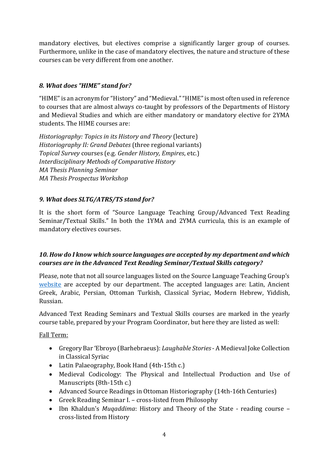mandatory electives, but electives comprise a significantly larger group of courses. Furthermore, unlike in the case of mandatory electives, the nature and structure of these courses can be very different from one another.

# *8. What does "HIME" stand for?*

"HIME" is an acronym for "History" and "Medieval." "HIME" is most often used in reference to courses that are almost always co-taught by professors of the Departments of History and Medieval Studies and which are either mandatory or mandatory elective for 2YMA students. The HIME courses are:

*Historiography: Topics in its History and Theory* (lecture) *Historiography II: Grand Debates* (three regional variants) *Topical Survey* courses (e.g. *Gender History, Empires*, etc.) *Interdisciplinary Methods of Comparative History MA Thesis Planning Seminar MA Thesis Prospectus Workshop*

# *9. What does SLTG/ATRS/TS stand for?*

It is the short form of "Source Language Teaching Group/Advanced Text Reading Seminar/Textual Skills." In both the 1YMA and 2YMA curricula, this is an example of mandatory electives courses.

# *10. How do I know which source languages are accepted by my department and which courses are in the Advanced Text Reading Seminar/Textual Skills category?*

Please, note that not all source languages listed on the Source Language Teaching Group's [website](https://www.ceu.edu/sltg) are accepted by our department. The accepted languages are: Latin, Ancient Greek, Arabic, Persian, Ottoman Turkish, Classical Syriac, Modern Hebrew, Yiddish, Russian.

Advanced Text Reading Seminars and Textual Skills courses are marked in the yearly course table, prepared by your Program Coordinator, but here they are listed as well:

# Fall Term:

- Gregory Bar 'Ebroyo (Barhebraeus): *Laughable Stories* A Medieval Joke Collection in Classical Syriac
- Latin Palaeography, Book Hand (4th-15th c.)
- Medieval Codicology: The Physical and Intellectual Production and Use of Manuscripts (8th-15th c.)
- Advanced Source Readings in Ottoman Historiography (14th-16th Centuries)
- Greek Reading Seminar I. cross-listed from Philosophy
- Ibn Khaldun's *Muqaddima*: History and Theory of the State reading course cross-listed from History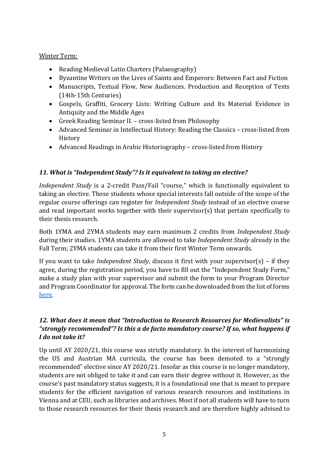#### Winter Term:

- Reading Medieval Latin Charters (Palaeography)
- Byzantine Writers on the Lives of Saints and Emperors: Between Fact and Fiction
- Manuscripts, Textual Flow, New Audiences. Production and Reception of Texts (14th-15th Centuries)
- Gospels, Graffiti, Grocery Lists: Writing Culture and Its Material Evidence in Antiquity and the Middle Ages
- Greek Reading Seminar II. cross-listed from Philosophy
- Advanced Seminar in Intellectual History: Reading the Classics cross-listed from History
- Advanced Readings in Arabic Historiography cross-listed from History

## *11. What is "Independent Study"? Is it equivalent to taking an elective?*

*Independent Study* is a 2-credit Pass/Fail "course," which is functionally equivalent to taking an elective. Those students whose special interests fall outside of the scope of the regular course offerings can register for *Independent Study* instead of an elective course and read important works together with their supervisor(s) that pertain specifically to their thesis research.

Both 1YMA and 2YMA students may earn maximum 2 credits from *Independent Study* during their studies. 1YMA students are allowed to take *Independent Study* already in the Fall Term; 2YMA students can take it from their first Winter Term onwards.

If you want to take *Independent Study*, discuss it first with your supervisor(s) – if they agree, during the registration period, you have to fill out the "Independent Study Form," make a study plan with your supervisor and submit the form to your Program Director and Program Coordinator for approval. The form can be downloaded from the list of forms [here.](https://medievalstudies.ceu.edu/ma-forms-student-rights-regulations)

## *12. What does it mean that "Introduction to Research Resources for Medievalists" is "strongly recommended"? Is this a de facto mandatory course? If so, what happens if I do not take it?*

Up until AY 2020/21, this course was strictly mandatory. In the interest of harmonizing the US and Austrian MA curricula, the course has been demoted to a "strongly recommended" elective since AY 2020/21. Insofar as this course is no longer mandatory, students are not obliged to take it and can earn their degree without it. However, as the course's past mandatory status suggests, it is a foundational one that is meant to prepare students for the efficient navigation of various research resources and institutions in Vienna and at CEU, such as libraries and archives. Most if not all students will have to turn to those research resources for their thesis research and are therefore highly advised to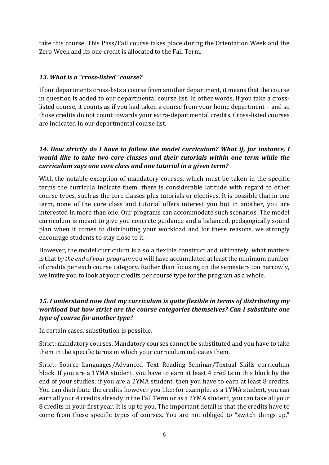take this course. This Pass/Fail course takes place during the Orientation Week and the Zero Week and its one credit is allocated to the Fall Term.

#### *13. What is a "cross-listed" course?*

If our departments cross-lists a course from another department, it means that the course in question is added to our departmental course list. In other words, if you take a crosslisted course, it counts as if you had taken a course from your home department – and so those credits do not count towards your extra-departmental credits. Cross-listed courses are indicated in our departmental course list.

### *14. How strictly do I have to follow the model curriculum? What if, for instance, I would like to take two core classes and their tutorials within one term while the curriculum says one core class and one tutorial in a given term?*

With the notable exception of mandatory courses, which must be taken in the specific terms the curricula indicate them, there is considerable latitude with regard to other course types, such as the core classes plus tutorials or electives. It is possible that in one term, none of the core class and tutorial offers interest you but in another, you are interested in more than one. Our programs can accommodate such scenarios. The model curriculum is meant to give you concrete guidance and a balanced, pedagogically sound plan when it comes to distributing your workload and for these reasons, we strongly encourage students to stay close to it.

However, the model curriculum is also a flexible construct and ultimately, what matters is that *by the end of your program* you will have accumulated at least the minimum number of credits per each course category. Rather than focusing on the semesters too narrowly, we invite you to look at your credits per course type for the program as a whole.

## *15. I understand now that my curriculum is quite flexible in terms of distributing my workload but how strict are the course categories themselves? Can I substitute one type of course for another type?*

In certain cases, substitution is possible.

Strict: mandatory courses. Mandatory courses cannot be substituted and you have to take them in the specific terms in which your curriculum indicates them.

Strict: Source Languages/Advanced Text Reading Seminar/Textual Skills curriculum block. If you are a 1YMA student, you have to earn at least 4 credits in this block by the end of your studies; if you are a 2YMA student, then you have to earn at least 8 credits. You can distribute the credits however you like: for example, as a 1YMA student, you can earn all your 4 credits already in the Fall Term or as a 2YMA student, you can take all your 8 credits in your first year. It is up to you. The important detail is that the credits have to come from these specific types of courses. You are not obliged to "switch things up,"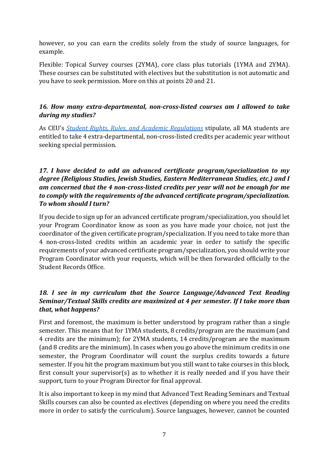however, so you can earn the credits solely from the study of source languages, for example.

Flexible: Topical Survey courses (2YMA), core class plus tutorials (1YMA and 2YMA). These courses can be substituted with electives but the substitution is not automatic and you have to seek permission. More on this at points 20 and 21.

## *16. How many extra-departmental, non-cross-listed courses am I allowed to take during my studies?*

As CEU's *[Student Rights, Rules, and Academic Regulations](https://documents.ceu.edu/documents/p-1105-2v1503)* stipulate, all MA students are entitled to take 4 extra-departmental, non-cross-listed credits per academic year without seeking special permission.

### *17. I have decided to add an advanced certificate program/specialization to my degree (Religious Studies, Jewish Studies, Eastern Mediterranean Studies, etc.) and I am concerned that the 4 non-cross-listed credits per year will not be enough for me to comply with the requirements of the advanced certificate program/specialization. To whom should I turn?*

If you decide to sign up for an advanced certificate program/specialization, you should let your Program Coordinator know as soon as you have made your choice, not just the coordinator of the given certificate program/specialization. If you need to take more than 4 non-cross-listed credits within an academic year in order to satisfy the specific requirements of your advanced certificate program/specialization, you should write your Program Coordinator with your requests, which will be then forwarded officially to the Student Records Office.

# *18. I see in my curriculum that the Source Language/Advanced Text Reading Seminar/Textual Skills credits are maximized at 4 per semester. If I take more than that, what happens?*

First and foremost, the maximum is better understood by program rather than a single semester. This means that for 1YMA students, 8 credits/program are the maximum (and 4 credits are the minimum); for 2YMA students, 14 credits/program are the maximum (and 8 credits are the minimum). In cases when you go above the minimum credits in one semester, the Program Coordinator will count the surplus credits towards a future semester. If you hit the program maximum but you still want to take courses in this block, first consult your supervisor(s) as to whether it is really needed and if you have their support, turn to your Program Director for final approval.

It is also important to keep in my mind that Advanced Text Reading Seminars and Textual Skills courses can also be counted as electives (depending on where you need the credits more in order to satisfy the curriculum). Source languages, however, cannot be counted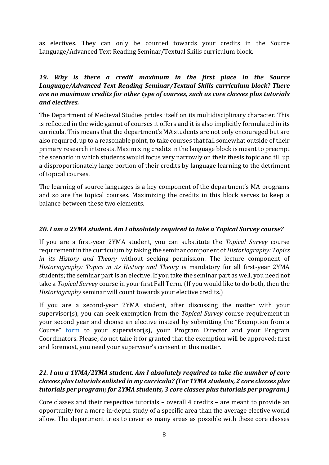as electives. They can only be counted towards your credits in the Source Language/Advanced Text Reading Seminar/Textual Skills curriculum block.

### *19. Why is there a credit maximum in the first place in the Source Language/Advanced Text Reading Seminar/Textual Skills curriculum block? There are no maximum credits for other type of courses, such as core classes plus tutorials and electives.*

The Department of Medieval Studies prides itself on its multidisciplinary character. This is reflected in the wide gamut of courses it offers and it is also implicitly formulated in its curricula. This means that the department's MA students are not only encouraged but are also required, up to a reasonable point, to take courses that fall somewhat outside of their primary research interests. Maximizing credits in the language block is meant to preempt the scenario in which students would focus very narrowly on their thesis topic and fill up a disproportionately large portion of their credits by language learning to the detriment of topical courses.

The learning of source languages is a key component of the department's MA programs and so are the topical courses. Maximizing the credits in this block serves to keep a balance between these two elements.

#### *20. I am a 2YMA student. Am I absolutely required to take a Topical Survey course?*

If you are a first-year 2YMA student, you can substitute the *Topical Survey* course requirement in the curriculum by taking the seminar component of *Historiography: Topics in its History and Theory* without seeking permission. The lecture component of *Historiography: Topics in its History and Theory* is mandatory for all first-year 2YMA students; the seminar part is an elective. If you take the seminar part as well, you need not take a *Topical Survey* course in your first Fall Term. (If you would like to do both, then the *Historiography* seminar will count towards your elective credits.)

If you are a second-year 2YMA student, after discussing the matter with your supervisor(s), you can seek exemption from the *Topical Survey* course requirement in your second year and choose an elective instead by submitting the "Exemption from a Course" [form](https://medievalstudies.ceu.edu/ma-forms-student-rights-regulations) to your supervisor(s), your Program Director and your Program Coordinators. Please, do not take it for granted that the exemption will be approved; first and foremost, you need your supervisor's consent in this matter.

## *21. I am a 1YMA/2YMA student. Am I absolutely required to take the number of core classes plus tutorials enlisted in my curricula? (For 1YMA students, 2 core classes plus tutorials per program; for 2YMA students, 3 core classes plus tutorials per program.)*

Core classes and their respective tutorials – overall 4 credits – are meant to provide an opportunity for a more in-depth study of a specific area than the average elective would allow. The department tries to cover as many areas as possible with these core classes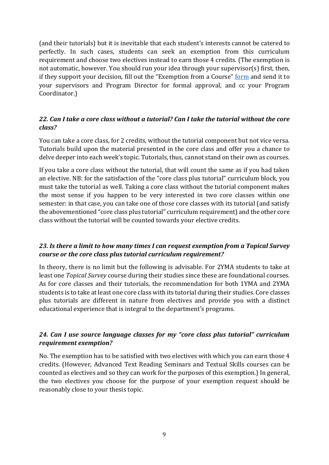(and their tutorials) but it is inevitable that each student's interests cannot be catered to perfectly. In such cases, students can seek an exemption from this curriculum requirement and choose two electives instead to earn those 4 credits. (The exemption is not automatic, however. You should run your idea through your supervisor(s) first, then, if they support your decision, fill out the "Exemption from a Course" [form](https://medievalstudies.ceu.edu/ma-forms-student-rights-regulations) and send it to your supervisors and Program Director for formal approval, and cc your Program Coordinator.)

### *22. Can I take a core class without a tutorial? Can I take the tutorial without the core class?*

You can take a core class, for 2 credits, without the tutorial component but not vice versa. Tutorials build upon the material presented in the core class and offer you a chance to delve deeper into each week's topic. Tutorials, thus, cannot stand on their own as courses.

If you take a core class without the tutorial, that will count the same as if you had taken an elective. NB: for the satisfaction of the "core class plus tutorial" curriculum block, you must take the tutorial as well. Taking a core class without the tutorial component makes the most sense if you happen to be very interested in two core classes within one semester: in that case, you can take one of those core classes with its tutorial (and satisfy the abovementioned "core class plus tutorial" curriculum requirement) and the other core class without the tutorial will be counted towards your elective credits.

### *23. Is there a limit to how many times I can request exemption from a Topical Survey course or the core class plus tutorial curriculum requirement?*

In theory, there is no limit but the following is advisable. For 2YMA students to take at least one *Topical Survey* course during their studies since these are foundational courses. As for core classes and their tutorials, the recommendation for both 1YMA and 2YMA students is to take at least one core class with its tutorial during their studies. Core classes plus tutorials are different in nature from electives and provide you with a distinct educational experience that is integral to the department's programs.

### *24. Can I use source language classes for my "core class plus tutorial" curriculum requirement exemption?*

No. The exemption has to be satisfied with two electives with which you can earn those 4 credits. (However, Advanced Text Reading Seminars and Textual Skills courses can be counted as electives and so they can work for the purposes of this exemption.) In general, the two electives you choose for the purpose of your exemption request should be reasonably close to your thesis topic.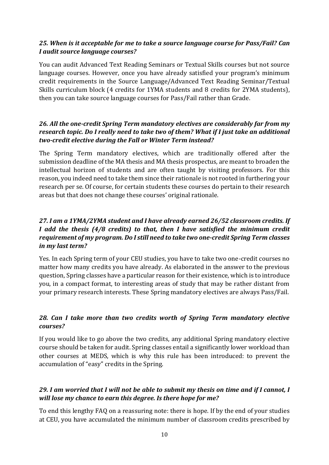### *25. When is it acceptable for me to take a source language course for Pass/Fail? Can I audit source language courses?*

You can audit Advanced Text Reading Seminars or Textual Skills courses but not source language courses. However, once you have already satisfied your program's minimum credit requirements in the Source Language/Advanced Text Reading Seminar/Textual Skills curriculum block (4 credits for 1YMA students and 8 credits for 2YMA students), then you can take source language courses for Pass/Fail rather than Grade.

## *26. All the one-credit Spring Term mandatory electives are considerably far from my research topic. Do I really need to take two of them? What if I just take an additional two-credit elective during the Fall or Winter Term instead?*

The Spring Term mandatory electives, which are traditionally offered after the submission deadline of the MA thesis and MA thesis prospectus, are meant to broaden the intellectual horizon of students and are often taught by visiting professors. For this reason, you indeed need to take them since their rationale is not rooted in furthering your research per se. Of course, for certain students these courses do pertain to their research areas but that does not change these courses' original rationale.

## *27. I am a 1YMA/2YMA student and I have already earned 26/52 classroom credits. If I add the thesis (4/8 credits) to that, then I have satisfied the minimum credit requirement of my program. Do I still need to take two one-credit Spring Term classes in my last term?*

Yes. In each Spring term of your CEU studies, you have to take two one-credit courses no matter how many credits you have already. As elaborated in the answer to the previous question, Spring classes have a particular reason for their existence, which is to introduce you, in a compact format, to interesting areas of study that may be rather distant from your primary research interests. These Spring mandatory electives are always Pass/Fail.

### *28. Can I take more than two credits worth of Spring Term mandatory elective courses?*

If you would like to go above the two credits, any additional Spring mandatory elective course should be taken for audit. Spring classes entail a significantly lower workload than other courses at MEDS, which is why this rule has been introduced: to prevent the accumulation of "easy" credits in the Spring.

## *29. I am worried that I will not be able to submit my thesis on time and if I cannot, I will lose my chance to earn this degree. Is there hope for me?*

To end this lengthy FAQ on a reassuring note: there is hope. If by the end of your studies at CEU, you have accumulated the minimum number of classroom credits prescribed by